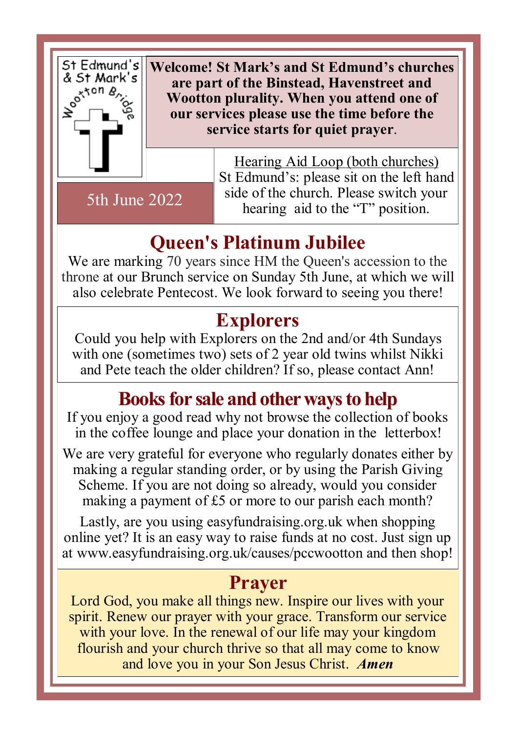

5th June 2022

**Welcome! St Mark's and St Edmund's churches are part of the Binstead, Havenstreet and Wootton plurality. When you attend one of our services please use the time before the service starts for quiet prayer**.

> Hearing Aid Loop (both churches) St Edmund's: please sit on the left hand side of the church. Please switch your hearing aid to the "T" position.

### **Queen's Platinum Jubilee**

We are marking 70 years since HM the Queen's accession to the throne at our Brunch service on Sunday 5th June, at which we will also celebrate Pentecost. We look forward to seeing you there!

#### **Explorers**

Could you help with Explorers on the 2nd and/or 4th Sundays with one (sometimes two) sets of 2 year old twins whilst Nikki and Pete teach the older children? If so, please contact Ann!

#### **Books for sale and other ways to help**

If you enjoy a good read why not browse the collection of books in the coffee lounge and place your donation in the letterbox!

We are very grateful for everyone who regularly donates either by making a regular standing order, or by using the Parish Giving Scheme. If you are not doing so already, would you consider making a payment of £5 or more to our parish each month?

Lastly, are you using easyfundraising.org.uk when shopping online yet? It is an easy way to raise funds at no cost. Just sign up at www.easyfundraising.org.uk/causes/pccwootton and then shop!

#### **Prayer**

Lord God, you make all things new. Inspire our lives with your spirit. Renew our prayer with your grace. Transform our service with your love. In the renewal of our life may your kingdom flourish and your church thrive so that all may come to know and love you in your Son Jesus Christ. *Amen*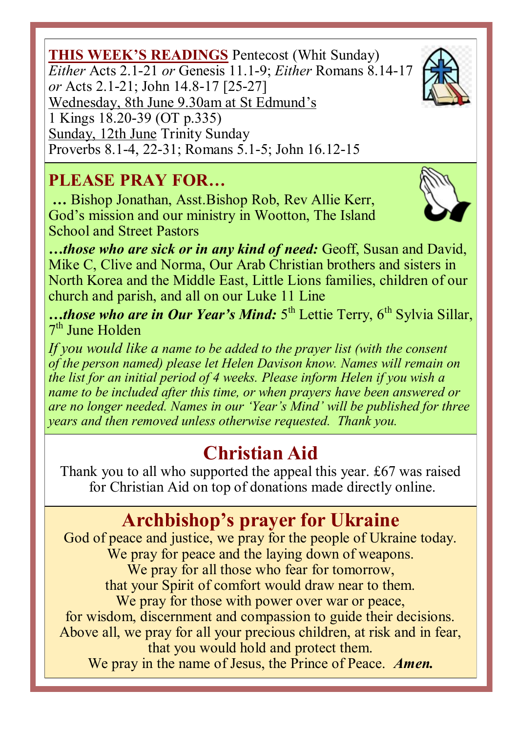**THIS WEEK'S READINGS** Pentecost (Whit Sunday) *Either* Acts 2.1-21 *or* Genesis 11.1-9; *Either* Romans 8.14-17 *or* Acts 2.1-21; John 14.8-17 [25-27] Wednesday, 8th June 9.30am at St Edmund's 1 Kings 18.20-39 (OT p.335) Sunday, 12th June Trinity Sunday Proverbs 8.1-4, 22-31; Romans 5.1-5; John 16.12-15

#### **PLEASE PRAY FOR…**

 **…** Bishop Jonathan, Asst.Bishop Rob, Rev Allie Kerr, God's mission and our ministry in Wootton, The Island School and Street Pastors

*…those who are sick or in any kind of need:* Geoff, Susan and David, Mike C, Clive and Norma, Our Arab Christian brothers and sisters in North Korea and the Middle East, Little Lions families, children of our church and parish, and all on our Luke 11 Line

…*those who are in Our Year's Mind:* 5<sup>th</sup> Lettie Terry, 6<sup>th</sup> Sylvia Sillar, 7<sup>th</sup> June Holden

*If you would like a name to be added to the prayer list (with the consent of the person named) please let Helen Davison know. Names will remain on the list for an initial period of 4 weeks. Please inform Helen if you wish a name to be included after this time, or when prayers have been answered or are no longer needed. Names in our 'Year's Mind' will be published for three years and then removed unless otherwise requested. Thank you.*

# **Christian Aid**

Thank you to all who supported the appeal this year. £67 was raised for Christian Aid on top of donations made directly online.

# **Archbishop's prayer for Ukraine**

God of peace and justice, we pray for the people of Ukraine today. We pray for peace and the laying down of weapons. We pray for all those who fear for tomorrow, that your Spirit of comfort would draw near to them. We pray for those with power over war or peace, for wisdom, discernment and compassion to guide their decisions. Above all, we pray for all your precious children, at risk and in fear, that you would hold and protect them. We pray in the name of Jesus, the Prince of Peace. *Amen.*



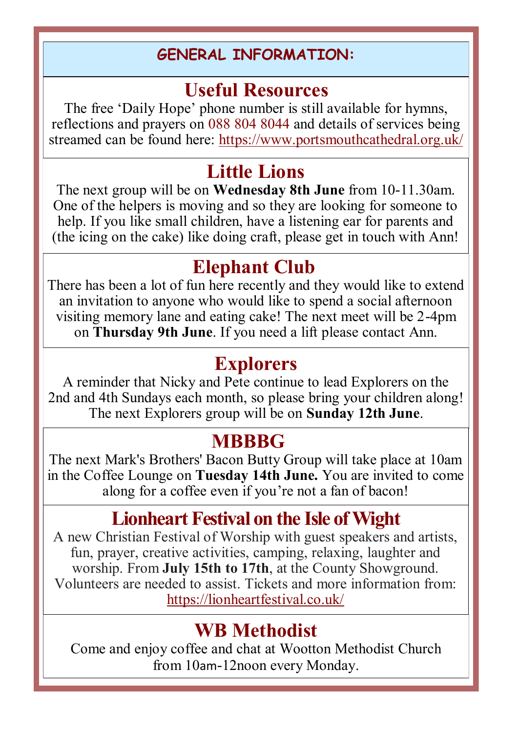#### **GENERAL INFORMATION:**

#### **Useful Resources**

The free 'Daily Hope' phone number is still available for hymns, reflections and prayers on 088 804 8044 and details of services being streamed can be found here: https://www.portsmouthcathedral.org.uk/

### **Little Lions**

The next group will be on **Wednesday 8th June** from 10-11.30am. One of the helpers is moving and so they are looking for someone to help. If you like small children, have a listening ear for parents and (the icing on the cake) like doing craft, please get in touch with Ann!

#### **Elephant Club**

There has been a lot of fun here recently and they would like to extend an invitation to anyone who would like to spend a social afternoon visiting memory lane and eating cake! The next meet will be 2-4pm on **Thursday 9th June**. If you need a lift please contact Ann.

### **Explorers**

A reminder that Nicky and Pete continue to lead Explorers on the 2nd and 4th Sundays each month, so please bring your children along! The next Explorers group will be on **Sunday 12th June**.

#### **MBBBG**

The next Mark's Brothers' Bacon Butty Group will take place at 10am in the Coffee Lounge on **Tuesday 14th June.** You are invited to come along for a coffee even if you're not a fan of bacon!

# **Lionheart Festival on the Isle of Wight**

A new Christian Festival of Worship with guest speakers and artists, fun, prayer, creative activities, camping, relaxing, laughter and worship. From **July 15th to 17th**, at the County Showground. Volunteers are needed to assist. Tickets and more information from: https://lionheartfestival.co.uk/

# **WB Methodist**

Come and enjoy coffee and chat at Wootton Methodist Church from 10am-12noon every Monday.